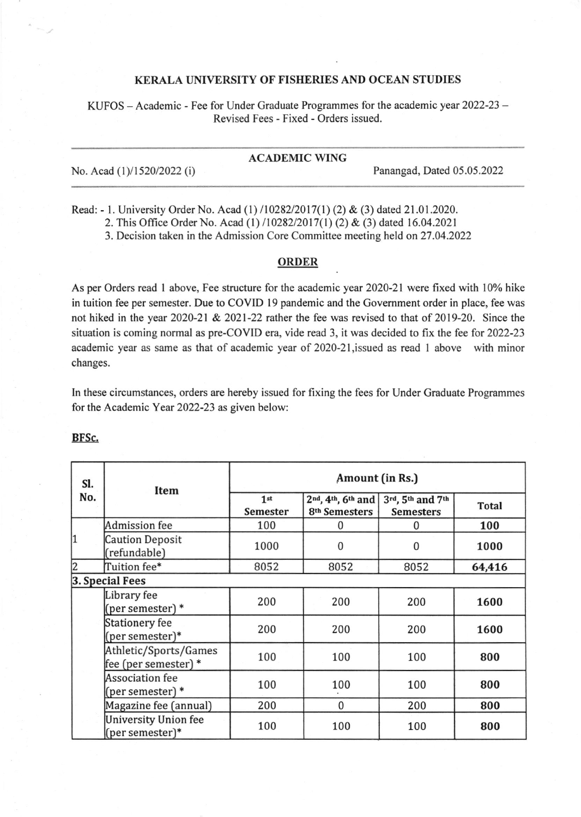## KERALA UNIVERSITY OF FISHERIES AND OCEAN STUDIES

KUFOS - Academic - Fee for Under Graduate Programmes for the academic year 2022-23 -Revised Fees - Fixed - Orders issued.

# ACADEMIC WING

No. Acad (1)/1520/2022 (i) Panangad, Dated 05.05.2022

Read: - l. University Order No. Acad (l) 11028212017(l) (2) & (3) dated 21.01.2020.

2. This Office Order No. Acad (1)/10282/2017(1) (2) & (3) dated 16.04.2021

3. Decision taken in the Admission Core Committee meeting held on27.04.2022

## ORDER

As per Orders read I above, Fee structure for the academic year 2020-21 were fixed with l0% hike in tuition fee per semester. Due to COVID l9 pandemic and the Govemment order in place, fee was not hiked in the year 2020-21 & 2021-22 rather the fee was revised to that of 2019-20. Since the situation is coming normal as pre-COVID era, vide read 3, it was decided to fix the fee for 2022-23 academic year as same as that of academic year of 2020-2l,issued as read I above with minor changes.

In these circumstances, orders are hereby issued for fixing the fees for Under Graduate Programmes for the Academic Year 2022-23 as given below:

| SI. | <b>Item</b>                                    | Amount (in Rs.)             |                                                |                                      |              |
|-----|------------------------------------------------|-----------------------------|------------------------------------------------|--------------------------------------|--------------|
| No. |                                                | 1 <sup>st</sup><br>Semester | 2nd, 4th, 6th and<br>8 <sup>th</sup> Semesters | 3rd, 5th and 7th<br><b>Semesters</b> | <b>Total</b> |
|     | <b>Admission fee</b>                           | 100                         | 0                                              | 0                                    | 100          |
| 1   | <b>Caution Deposit</b><br>(refundable)         | 1000                        | 0                                              | 0                                    | 1000         |
| 2   | Tuition fee*                                   | 8052                        | 8052                                           | 8052                                 | 64,416       |
|     | 3. Special Fees                                |                             |                                                |                                      |              |
|     | Library fee<br>(per semester) *                | 200                         | 200                                            | 200                                  | 1600         |
|     | <b>Stationery fee</b><br>(per semester)*       | 200                         | 200                                            | 200                                  | 1600         |
|     | Athletic/Sports/Games<br>fee (per semester) *  | 100                         | 100                                            | 100                                  | 800          |
|     | <b>Association</b> fee<br>(per semester) *     | 100                         | 100                                            | 100                                  | 800          |
|     | Magazine fee (annual)                          | 200                         | $\bf{0}$                                       | 200                                  | 800          |
|     | <b>University Union fee</b><br>(per semester)* | 100                         | 100                                            | 100                                  | 800          |

#### BFSc.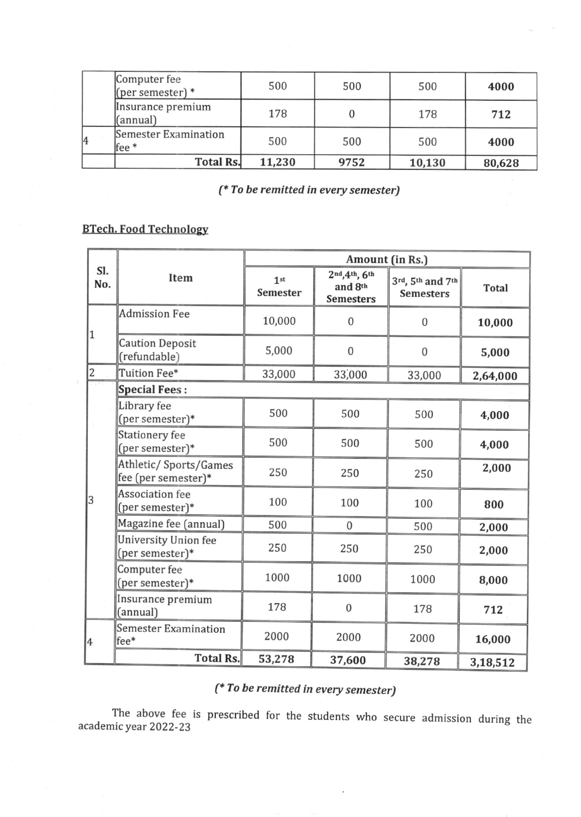|   | Computer fee<br>(per semester) $*$         | 500    | 500  | 500    | 4000   |
|---|--------------------------------------------|--------|------|--------|--------|
|   | Insurance premium<br>(annual)              | 178    |      | 178    | 712    |
| 4 | Semester Examination<br>$fee$ <sup>*</sup> | 500    | 500  | 500    | 4000   |
|   | <b>Total Rs.</b>                           | 11,230 | 9752 | 10,130 | 80,628 |

(\* To be remitted in every semester)

# **BTech. Food Technology**

| SI.<br>No.     | Item                                          | Amount (in Rs.)             |                                              |                                      |              |
|----------------|-----------------------------------------------|-----------------------------|----------------------------------------------|--------------------------------------|--------------|
|                |                                               | 1 <sup>st</sup><br>Semester | 2nd, 4th, 6th<br>and 8th<br><b>Semesters</b> | 3rd, 5th and 7th<br><b>Semesters</b> | <b>Total</b> |
| 1              | <b>Admission Fee</b>                          | 10,000                      | $\mathbf{0}$                                 | $\mathbf{0}$                         | 10,000       |
|                | <b>Caution Deposit</b><br>(refundable)        | 5,000                       | $\boldsymbol{0}$                             | $\mathbf 0$                          | 5,000        |
| $\overline{c}$ | Tuition Fee*                                  | 33,000                      | 33,000                                       | 33,000                               | 2,64,000     |
|                | <b>Special Fees:</b>                          |                             |                                              |                                      |              |
| 3              | Library fee<br>(per semester)*                | 500                         | 500                                          | 500                                  | 4,000        |
|                | <b>Stationery fee</b><br>(per semester)*      | 500                         | 500                                          | 500                                  | 4,000        |
|                | Athletic/ Sports/Games<br>fee (per semester)* | 250                         | 250                                          | 250                                  | 2,000        |
|                | <b>Association</b> fee<br>(per semester)*     | 100                         | 100                                          | 100                                  | 800          |
|                | Magazine fee (annual)                         | 500                         | $\boldsymbol{0}$                             | 500                                  | 2,000        |
|                | University Union fee<br>(per semester)*       | 250                         | 250                                          | 250                                  | 2,000        |
|                | Computer fee<br>(per semester)*               | 1000                        | 1000                                         | 1000                                 | 8,000        |
|                | Insurance premium<br>(annual)                 | 178                         | $\mathbf{0}$                                 | 178                                  | 712          |
| 4              | <b>Semester Examination</b><br>fee*           | 2000                        | 2000                                         | 2000                                 | 16,000       |
|                | <b>Total Rs.</b>                              | 53,278                      | 37,600                                       | 38,278                               | 3,18,512     |

# (\* To be remitted in every semester)

The above fee is prescribed for the students who secure admission during the academic year 2022-23